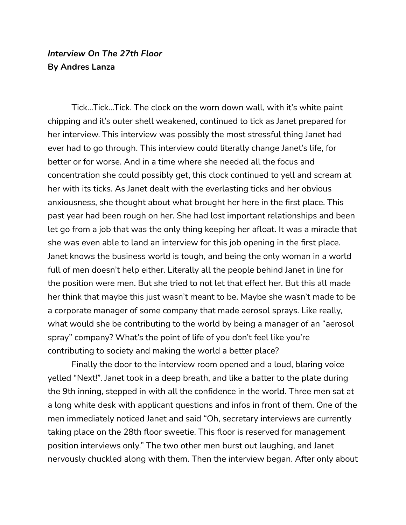## *Interview On The 27th Floor* **By Andres Lanza**

Tick…Tick…Tick. The clock on the worn down wall, with it's white paint chipping and it's outer shell weakened, continued to tick as Janet prepared for her interview. This interview was possibly the most stressful thing Janet had ever had to go through. This interview could literally change Janet's life, for better or for worse. And in a time where she needed all the focus and concentration she could possibly get, this clock continued to yell and scream at her with its ticks. As Janet dealt with the everlasting ticks and her obvious anxiousness, she thought about what brought her here in the first place. This past year had been rough on her. She had lost important relationships and been let go from a job that was the only thing keeping her afloat. It was a miracle that she was even able to land an interview for this job opening in the first place. Janet knows the business world is tough, and being the only woman in a world full of men doesn't help either. Literally all the people behind Janet in line for the position were men. But she tried to not let that effect her. But this all made her think that maybe this just wasn't meant to be. Maybe she wasn't made to be a corporate manager of some company that made aerosol sprays. Like really, what would she be contributing to the world by being a manager of an "aerosol spray" company? What's the point of life of you don't feel like you're contributing to society and making the world a better place?

Finally the door to the interview room opened and a loud, blaring voice yelled "Next!". Janet took in a deep breath, and like a batter to the plate during the 9th inning, stepped in with all the confidence in the world. Three men sat at a long white desk with applicant questions and infos in front of them. One of the men immediately noticed Janet and said "Oh, secretary interviews are currently taking place on the 28th floor sweetie. This floor is reserved for management position interviews only." The two other men burst out laughing, and Janet nervously chuckled along with them. Then the interview began. After only about